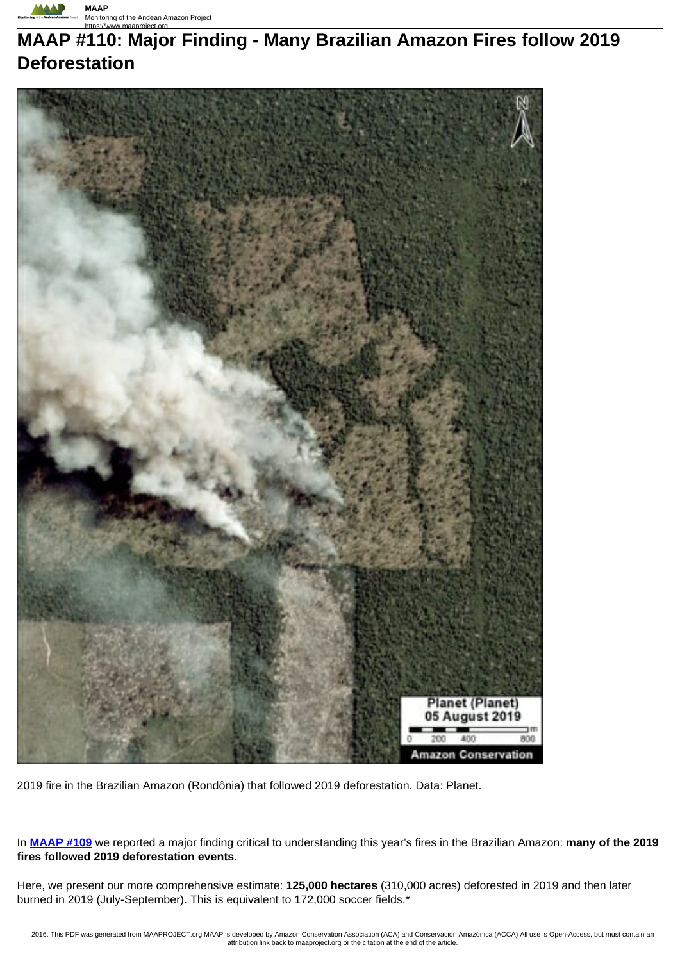

# **MAAP #110: Major Finding - Many Brazilian Amazon Fires follow 2019 Deforestation**



2019 fire in the Brazilian Amazon (Rondônia) that followed 2019 deforestation. Data: Planet.

In **MAAP #109** we reported a major finding critical to understanding this year's fires in the Brazilian Amazon: **many of the 2019 fires followed 2019 deforestation events**.

Here, we present our more comprehensive estimate: **125,000 hectares** (310,000 acres) deforested in 2019 and then later burned in 2019 (July-September). This is equivalent to 172,000 soccer fields.\*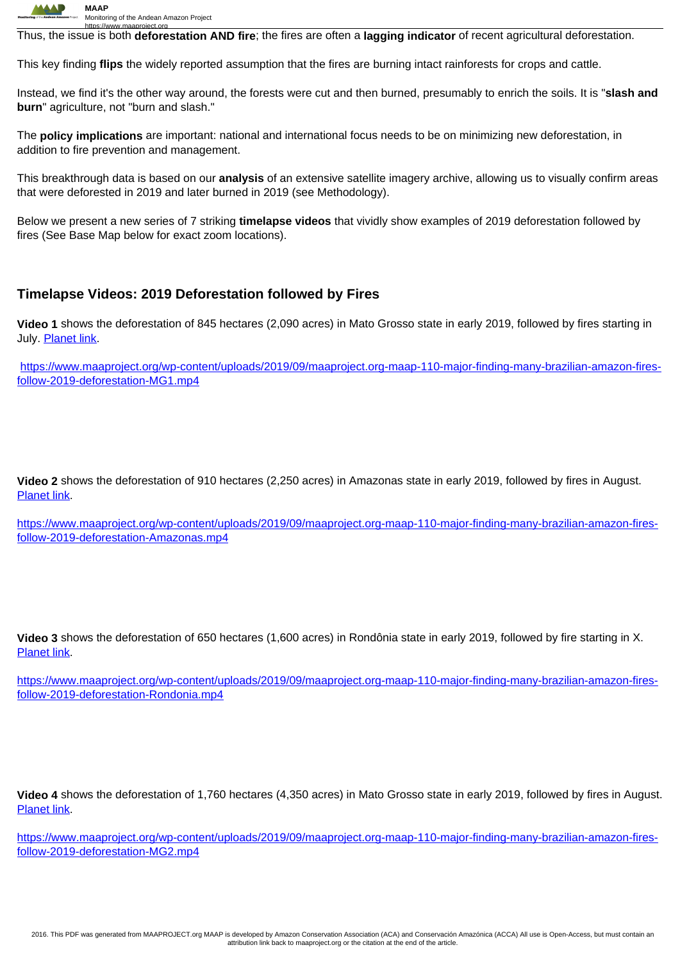

https://www.maaproject.org Thus, the issue is both **deforestation AND fire**; the fires are often a **lagging indicator** of recent agricultural deforestation.

This key finding **flips** the widely reported assumption that the fires are burning intact rainforests for crops and cattle.

Instead, we find it's the other way around, the forests were cut and then burned, presumably to enrich the soils. It is "**slash and burn**" agriculture, not "burn and slash."

The **policy implications** are important: national and international focus needs to be on minimizing new deforestation, in addition to fire prevention and management.

This breakthrough data is based on our **analysis** of an extensive satellite imagery archive, allowing us to visually confirm areas that were deforested in 2019 and later burned in 2019 (see Methodology).

Below we present a new series of 7 striking **timelapse videos** that vividly show examples of 2019 deforestation followed by fires (See Base Map below for exact zoom locations).

### **Timelapse Videos: 2019 Deforestation followed by Fires**

**Video 1** shows the deforestation of 845 hectares (2,090 acres) in Mato Grosso state in early 2019, followed by fires starting in July. Planet link.

https://www.maaproject.org/wp-content/uploads/2019/09/maaproject.org-maap-110-major-finding-many-brazilian-amazon-firesfollow-2019-deforestation-MG1.mp4

**Video 2** shows the deforestation of 910 hectares (2,250 acres) in Amazonas state in early 2019, followed by fires in August. Planet link.

https://www.maaproject.org/wp-content/uploads/2019/09/maaproject.org-maap-110-major-finding-many-brazilian-amazon-firesfollow-2019-deforestation-Amazonas.mp4

**Video 3** shows the deforestation of 650 hectares (1,600 acres) in Rondônia state in early 2019, followed by fire starting in X. Planet link.

https://www.maaproject.org/wp-content/uploads/2019/09/maaproject.org-maap-110-major-finding-many-brazilian-amazon-firesfollow-2019-deforestation-Rondonia.mp4

**Video 4** shows the deforestation of 1,760 hectares (4,350 acres) in Mato Grosso state in early 2019, followed by fires in August. **Planet link.** 

https://www.maaproject.org/wp-content/uploads/2019/09/maaproject.org-maap-110-major-finding-many-brazilian-amazon-firesfollow-2019-deforestation-MG2.mp4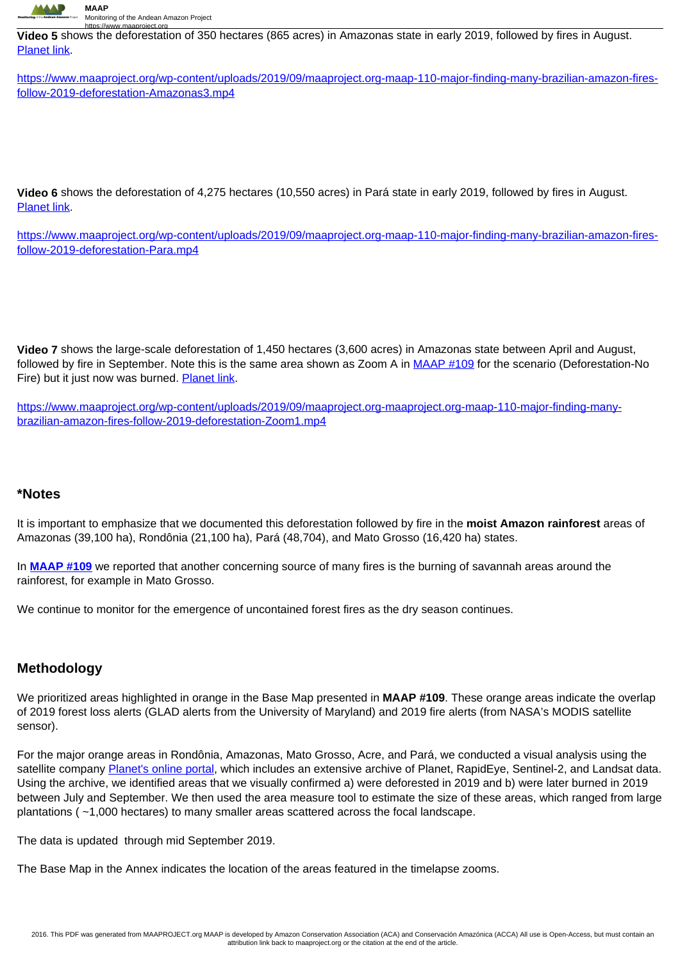

**Video 5** shows the deforestation of 350 hectares (865 acres) in Amazonas state in early 2019, followed by fires in August. Planet link.

https://www.maaproject.org/wp-content/uploads/2019/09/maaproject.org-maap-110-major-finding-many-brazilian-amazon-firesfollow-2019-deforestation-Amazonas3.mp4

**Video 6** shows the deforestation of 4,275 hectares (10,550 acres) in Pará state in early 2019, followed by fires in August. Planet link.

https://www.maaproject.org/wp-content/uploads/2019/09/maaproject.org-maap-110-major-finding-many-brazilian-amazon-firesfollow-2019-deforestation-Para.mp4

**Video 7** shows the large-scale deforestation of 1,450 hectares (3,600 acres) in Amazonas state between April and August, followed by fire in September. Note this is the same area shown as Zoom A in MAAP #109 for the scenario (Deforestation-No Fire) but it just now was burned. Planet link.

https://www.maaproject.org/wp-content/uploads/2019/09/maaproject.org-maaproject.org-maap-110-major-finding-manybrazilian-amazon-fires-follow-2019-deforestation-Zoom1.mp4

#### **\*Notes**

It is important to emphasize that we documented this deforestation followed by fire in the **moist Amazon rainforest** areas of Amazonas (39,100 ha), Rondônia (21,100 ha), Pará (48,704), and Mato Grosso (16,420 ha) states.

In **MAAP #109** we reported that another concerning source of many fires is the burning of savannah areas around the rainforest, for example in Mato Grosso.

We continue to monitor for the emergence of uncontained forest fires as the dry season continues.

## **Methodology**

We prioritized areas highlighted in orange in the Base Map presented in **MAAP #109**. These orange areas indicate the overlap of 2019 forest loss alerts (GLAD alerts from the University of Maryland) and 2019 fire alerts (from NASA's MODIS satellite sensor).

For the major orange areas in Rondônia, Amazonas, Mato Grosso, Acre, and Pará, we conducted a visual analysis using the satellite company Planet's online portal, which includes an extensive archive of Planet, RapidEye, Sentinel-2, and Landsat data. Using the archive, we identified areas that we visually confirmed a) were deforested in 2019 and b) were later burned in 2019 between July and September. We then used the area measure tool to estimate the size of these areas, which ranged from large plantations ( ~1,000 hectares) to many smaller areas scattered across the focal landscape.

The data is updated through mid September 2019.

The Base Map in the Annex indicates the location of the areas featured in the timelapse zooms.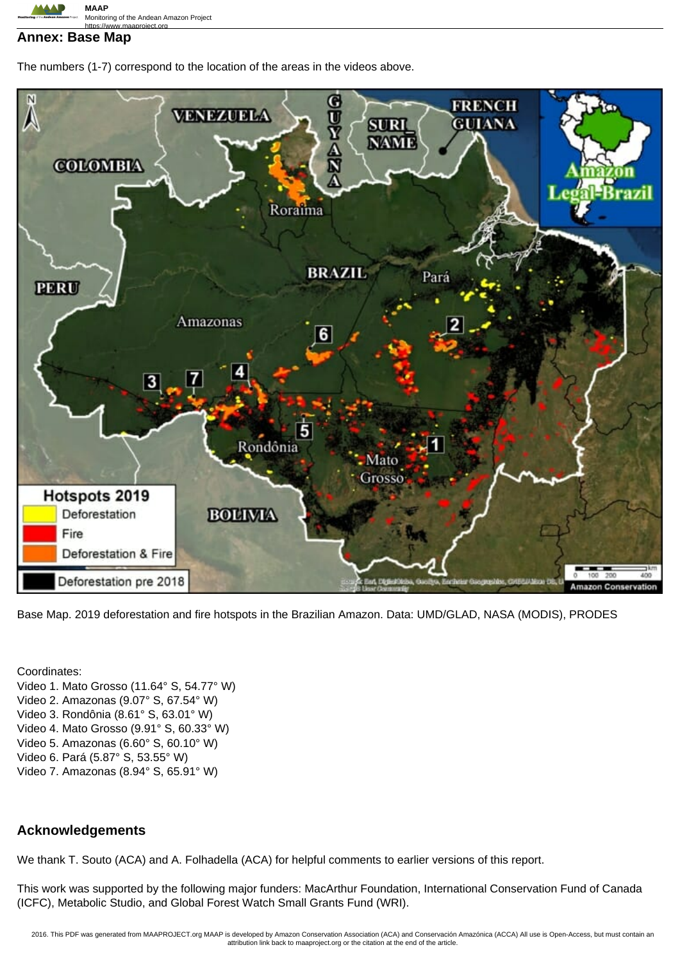

#### **Annex: Base Map**

The numbers (1-7) correspond to the location of the areas in the videos above.



Base Map. 2019 deforestation and fire hotspots in the Brazilian Amazon. Data: UMD/GLAD, NASA (MODIS), PRODES

Coordinates: Video 1. Mato Grosso (11.64° S, 54.77° W) Video 2. Amazonas (9.07° S, 67.54° W) Video 3. Rondônia (8.61° S, 63.01° W) Video 4. Mato Grosso (9.91° S, 60.33° W) Video 5. Amazonas (6.60° S, 60.10° W) Video 6. Pará (5.87° S, 53.55° W) Video 7. Amazonas (8.94° S, 65.91° W)

# **Acknowledgements**

We thank T. Souto (ACA) and A. Folhadella (ACA) for helpful comments to earlier versions of this report.

This work was supported by the following major funders: MacArthur Foundation, International Conservation Fund of Canada (ICFC), Metabolic Studio, and Global Forest Watch Small Grants Fund (WRI).